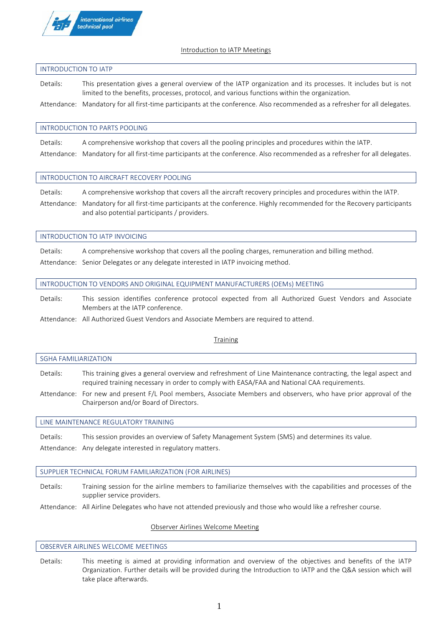

# **Introduction to IATP Meetings**

# **INTRODUCTION TO IATP**

**Details:** This presentation gives a general overview of the IATP organization and its processes. It includes but is not limited to the benefits, processes, protocol, and various functions within the organization.

**Attendance: Mandatory for all first-time participants at the conference.** Also recommended as a refresher for all delegates.

# **INTRODUCTION TO PARTS POOLING**

**Details:** A comprehensive workshop that covers all the pooling principles and procedures within the IATP. **Attendance: Mandatory for all first-time participants at the conference**. Also recommended as a refresher for all delegates.

# **INTRODUCTION TO AIRCRAFT RECOVERY POOLING**

and also potential participants / providers.

**Details:** A comprehensive workshop that covers all the aircraft recovery principles and procedures within the IATP. **Attendance: Mandatory for all first-time participants at the conference**. Highly recommended for the Recovery participants

# **INTRODUCTION TO IATP INVOICING**

**Details:** A comprehensive workshop that covers all the pooling charges, remuneration and billing method. **Attendance:** Senior Delegates or any delegate interested in IATP invoicing method.

# **INTRODUCTION TO VENDORS AND ORIGINAL EQUIPMENT MANUFACTURERS (OEMs) MEETING**

**Details:** This session identifies conference protocol expected from all Authorized Guest Vendors and Associate Members at the IATP conference.

**Attendance: All Authorized Guest Vendors and Associate Members are required to attend**.

# **Training**

# **SGHA FAMILIARIZATION**

**Details:** This training gives a general overview and refreshment of Line Maintenance contracting, the legal aspect and required training necessary in order to comply with EASA/FAA and National CAA requirements.

**Attendance:** For new and present F/L Pool members, Associate Members and observers, who have prior approval of the Chairperson and/or Board of Directors.

# **LINE MAINTENANCE REGULATORY TRAINING**

**Details:** This session provides an overview of Safety Management System (SMS) and determines its value.

**Attendance:** Any delegate interested in regulatory matters.

# **SUPPLIER TECHNICAL FORUM FAMILIARIZATION (FOR AIRLINES)**

**Details:** Training session for the airline members to familiarize themselves with the capabilities and processes of the supplier service providers.

**Attendance:** All Airline Delegates who have not attended previously and those who would like a refresher course.

# **Observer Airlines Welcome Meeting**

# **OBSERVER AIRLINES WELCOME MEETINGS**

**Details:** This meeting is aimed at providing information and overview of the objectives and benefits of the IATP Organization. Further details will be provided during the Introduction to IATP and the Q&A session which will take place afterwards.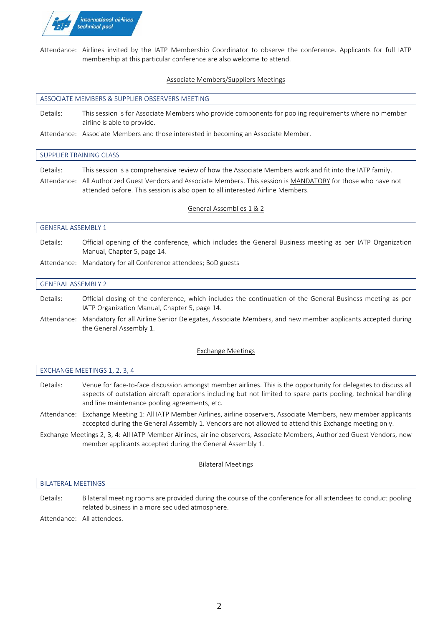

**Attendance:** Airlines invited by the IATP Membership Coordinator to observe the conference. Applicants for full IATP membership at this particular conference are also welcome to attend.

# **Associate Members/Suppliers Meetings**

#### **ASSOCIATE MEMBERS & SUPPLIER OBSERVERS MEETING**

**Details:** This session is for Associate Members who provide components for pooling requirements where no member airline is able to provide.

**Attendance:** Associate Members and those interested in becoming an Associate Member.

# **SUPPLIER TRAINING CLASS**

**Details:** This session is a comprehensive review of how the Associate Members work and fit into the IATP family.

**Attendance:** All Authorized Guest Vendors and Associate Members. **This session is MANDATORY for those who have not attended before.** This session is also open to all interested Airline Members.

# **General Assemblies 1 & 2**

#### **GENERAL ASSEMBLY 1**

**Details:** Official opening of the conference, which includes the General Business meeting as per IATP Organization Manual, Chapter 5, page 14.

**Attendance: Mandatory for all Conference attendees**; BoD guests

#### **GENERAL ASSEMBLY 2**

- **Details:** Official closing of the conference, which includes the continuation of the General Business meeting as per IATP Organization Manual, Chapter 5, page 14.
- **Attendance: Mandatory for all Airline Senior Delegates, Associate Members, and new member applicants accepted during the General Assembly 1.**

# **Exchange Meetings**

| EXCHANGE MEETINGS 1, 2, 3, 4 |                                                                                                                                                                                                                                                                                    |
|------------------------------|------------------------------------------------------------------------------------------------------------------------------------------------------------------------------------------------------------------------------------------------------------------------------------|
| Details:                     | Venue for face-to-face discussion amongst member airlines. This is the opportunity for delegates to discuss all<br>aspects of outstation aircraft operations including but not limited to spare parts pooling, technical handling<br>and line maintenance pooling agreements, etc. |

**Attendance: Exchange Meeting 1:** All IATP Member Airlines, airline observers, Associate Members, new member applicants accepted during the General Assembly 1. Vendors are not allowed to attend this Exchange meeting only.

**Exchange Meetings 2, 3, 4:** All IATP Member Airlines, airline observers, Associate Members, Authorized Guest Vendors, new member applicants accepted during the General Assembly 1.

# **Bilateral Meetings**

#### **BILATERAL MEETINGS**

**Details:** Bilateral meeting rooms are provided during the course of the conference for all attendees to conduct pooling related business in a more secluded atmosphere.

**Attendance:** All attendees.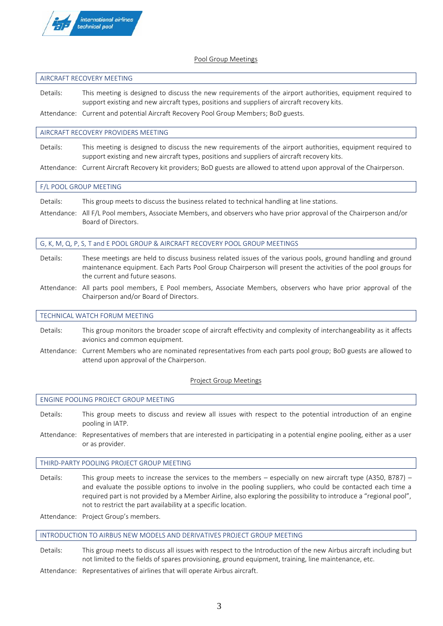

# **Pool Group Meetings**

# **AIRCRAFT RECOVERY MEETING**

**Details:** This meeting is designed to discuss the new requirements of the airport authorities, equipment required to support existing and new aircraft types, positions and suppliers of aircraft recovery kits.

**Attendance:** Current and potential Aircraft Recovery Pool Group Members; BoD guests.

### **AIRCRAFT RECOVERY PROVIDERS MEETING**

**Details:** This meeting is designed to discuss the new requirements of the airport authorities, equipment required to support existing and new aircraft types, positions and suppliers of aircraft recovery kits.

**Attendance:** Current Aircraft Recovery kit providers; BoD guests are allowed to attend upon approval of the Chairperson.

#### **F/L POOL GROUP MEETING**

**Details:** This group meets to discuss the business related to technical handling at line stations.

**Attendance:** All F/L Pool members, Associate Members, and observers who have prior approval of the Chairperson and/or Board of Directors.

# **G, K, M, Q, P, S, T and E POOL GROUP & AIRCRAFT RECOVERY POOL GROUP MEETINGS**

- **Details:** These meetings are held to discuss business related issues of the various pools, ground handling and ground maintenance equipment. Each Parts Pool Group Chairperson will present the activities of the pool groups for the current and future seasons.
- **Attendance:** All parts pool members, E Pool members, Associate Members, observers who have prior approval of the Chairperson and/or Board of Directors.

### **TECHNICAL WATCH FORUM MEETING**

- **Details:** This group monitors the broader scope of aircraft effectivity and complexity of interchangeability as it affects avionics and common equipment.
- **Attendance:** Current Members who are nominated representatives from each parts pool group; BoD guests are allowed to attend upon approval of the Chairperson.

#### **Project Group Meetings**

#### **ENGINE POOLING PROJECT GROUP MEETING**

- **Details:** This group meets to discuss and review all issues with respect to the potential introduction of an engine pooling in IATP.
- **Attendance:** Representatives of members that are interested in participating in a potential engine pooling, either as a user or as provider.

#### **THIRD-PARTY POOLING PROJECT GROUP MEETING**

**Details:** This group meets to increase the services to the members – especially on new aircraft type (A350, B787) – and evaluate the possible options to involve in the pooling suppliers, who could be contacted each time a required part is not provided by a Member Airline, also exploring the possibility to introduce a "regional pool", not to restrict the part availability at a specific location.

**Attendance:** Project Group's members.

#### **INTRODUCTION TO AIRBUS NEW MODELS AND DERIVATIVES PROJECT GROUP MEETING**

- **Details:** This group meets to discuss all issues with respect to the Introduction of the new Airbus aircraft including but not limited to the fields of spares provisioning, ground equipment, training, line maintenance, etc.
- **Attendance:** Representatives of airlines that will operate Airbus aircraft.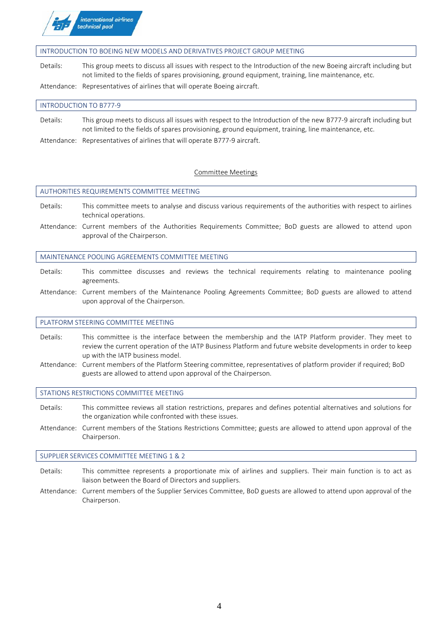

# **INTRODUCTION TO BOEING NEW MODELS AND DERIVATIVES PROJECT GROUP MEETING**

**Details:** This group meets to discuss all issues with respect to the Introduction of the new Boeing aircraft including but not limited to the fields of spares provisioning, ground equipment, training, line maintenance, etc.

**Attendance:** Representatives of airlines that will operate Boeing aircraft.

# **INTRODUCTION TO B777-9**

**Details:** This group meets to discuss all issues with respect to the Introduction of the new B777-9 aircraft including but not limited to the fields of spares provisioning, ground equipment, training, line maintenance, etc.

**Attendance:** Representatives of airlines that will operate B777-9 aircraft.

# **Committee Meetings**

# **AUTHORITIES REQUIREMENTS COMMITTEE MEETING**

- **Details:** This committee meets to analyse and discuss various requirements of the authorities with respect to airlines technical operations.
- **Attendance:** Current members of the Authorities Requirements Committee; BoD guests are allowed to attend upon approval of the Chairperson.

# **MAINTENANCE POOLING AGREEMENTS COMMITTEE MEETING**

- **Details:** This committee discusses and reviews the technical requirements relating to maintenance pooling agreements.
- **Attendance:** Current members of the Maintenance Pooling Agreements Committee; BoD guests are allowed to attend upon approval of the Chairperson.

# **PLATFORM STEERING COMMITTEE MEETING**

- **Details:** This committee is the interface between the membership and the IATP Platform provider. They meet to review the current operation of the IATP Business Platform and future website developments in order to keep up with the IATP business model.
- **Attendance:** Current members of the Platform Steering committee, representatives of platform provider if required; BoD guests are allowed to attend upon approval of the Chairperson.

# **STATIONS RESTRICTIONS COMMITTEE MEETING**

- **Details:** This committee reviews all station restrictions, prepares and defines potential alternatives and solutions for the organization while confronted with these issues.
- **Attendance:** Current members of the Stations Restrictions Committee; guests are allowed to attend upon approval of the Chairperson.

# **SUPPLIER SERVICES COMMITTEE MEETING 1 & 2**

- **Details:** This committee represents a proportionate mix of airlines and suppliers. Their main function is to act as liaison between the Board of Directors and suppliers.
- **Attendance:** Current members of the Supplier Services Committee, BoD guests are allowed to attend upon approval of the Chairperson.